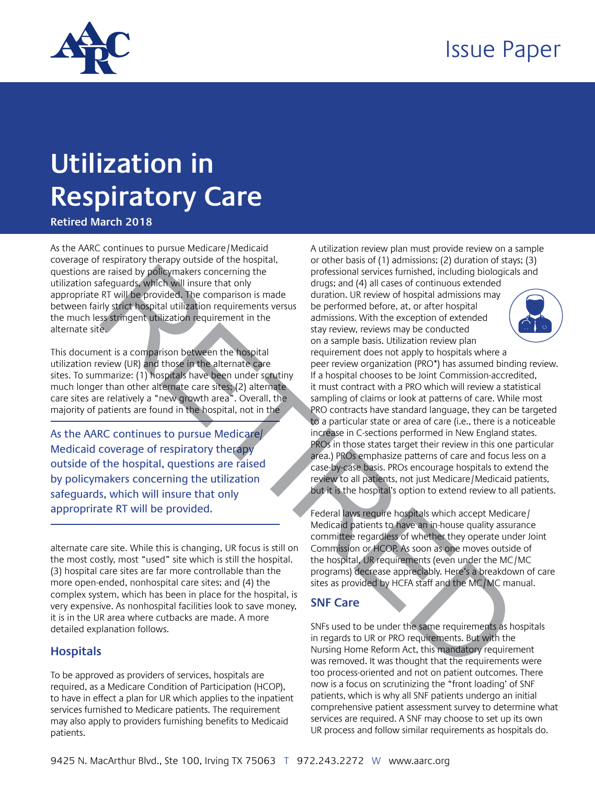

# **Utilization in Respiratory Care**

**Retired March 2018**

As the AARC continues to pursue Medicare/Medicaid coverage of respiratory therapy outside of the hospital, questions are raised by policymakers concerning the utilization safeguards, which will insure that only appropriate RT will be provided. The comparison is made between fairly strict hospital utilization requirements versus the much less stringent utilization requirement in the alternate site.

This document is a comparison between the hospital utilization review (UR) and those in the alternate care sites. To summarize: (1) hospitals have been under scrutiny much longer than other alternate care sites; (2) alternate care sites are relatively a "new growth area". Overall, the majority of patients are found in the hospital, not in the

As the AARC continues to pursue Medicare/ Medicaid coverage of respiratory therapy outside of the hospital, questions are raised by policymakers concerning the utilization safeguards, which will insure that only

alternate care site. While this is changing, UR focus is still on the most costly, most "used" site which is still the hospital. (3) hospital care sites are far more controllable than the more open-ended, nonhospital care sites; and (4) the complex system, which has been in place for the hospital, is very expensive. As nonhospital facilities look to save money, it is in the UR area where cutbacks are made. A more detailed explanation follows.

## **Hospitals**

To be approved as providers of services, hospitals are required, as a Medicare Condition of Participation (HCOP), to have in effect a plan for UR which applies to the inpatient services furnished to Medicare patients. The requirement may also apply to providers furnishing benefits to Medicaid patients.

A utilization review plan must provide review on a sample or other basis of (1) admissions; (2) duration of stays; (3) professional services furnished, including biologicals and drugs; and (4) all cases of continuous extended

duration. UR review of hospital admissions may be performed before, at, or after hospital admissions. With the exception of extended stay review, reviews may be conducted on a sample basis. Utilization review plan



requirement does not apply to hospitals where a peer review organization (PRO\*) has assumed binding review. If a hospital chooses to be Joint Commission-accredited, it must contract with a PRO which will review a statistical sampling of claims or look at patterns of care. While most PRO contracts have standard language, they can be targeted to a particular state or area of care (i.e., there is a noticeable increase in C-sections performed in New England states. PROs in those states target their review in this one particular area.) PROs emphasize patterns of care and focus less on a case-by-case basis. PROs encourage hospitals to extend the review to all patients, not just Medicare/Medicaid patients, but it is the hospital's option to extend review to all patients. questions are noted by policy policy makers concerning the<br>
during and (4) all cases of continuous extended.<br>
Lettilization safeguards, which will have brown the comparison in ande during on the comparison in the compariso

Federal laws require hospitals which accept Medicare/ Medicaid patients to have an in-house quality assurance committee regardless of whether they operate under Joint Commission or HCOP. As soon as one moves outside of the hospital, UR requirements (even under the MC/MC programs) decrease appreciably. Here's a breakdown of care sites as provided by HCFA staff and the MC/MC manual.

# **SNF Care**

SNFs used to be under the same requirements as hospitals in regards to UR or PRO requirements. But with the Nursing Home Reform Act, this mandatory requirement was removed. It was thought that the requirements were too process-oriented and not on patient outcomes. There now is a focus on scrutinizing the "front loading' of SNF patients, which is why all SNF patients undergo an initial comprehensive patient assessment survey to determine what services are required. A SNF may choose to set up its own UR process and follow similar requirements as hospitals do.